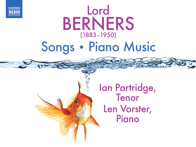

# Lord BERNERS (1883–1950) Songs • Piano Music

Ian Partridge, Tenor Len Vorster, Piano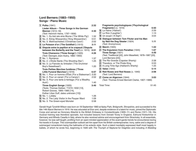## **Lord Berners (1883–1950)**

**Songs • Piano Music**

|     | 1 Polka (1941)                                      | 2:32 | Fragments psychologiques ('Psychological                 |       |
|-----|-----------------------------------------------------|------|----------------------------------------------------------|-------|
|     | Lieder Album - Three Songs in the German            |      | <b>Fragments')</b> (c. 1916)                             | 6:50  |
|     | <b>Manner</b> (1913-18)                             | 4:30 | 16 La Haine ('Hatred')                                   | 2:29  |
|     | (Text: Heinrich Heine, 1797-1856)                   |      | [7] Le Rire ('Laughter')                                 | 1:13  |
|     | 2 No. 1. Du bist wie eine Blume ('The White Pig')   | 1:32 | 18 Un soupir ('A Sigh')                                  | 3:04  |
|     | 3 No. 2. König Wiswamitra ('King Wiswamitra')       | 0:51 | 19 Dialogue between Tom Filuter and his Man              |       |
| 4   | No. 3. Weihnachtslied ('Christmas Carol')           | 2:02 | by Ned the Dog Stealer (1924)                            | 1:11  |
| 151 | Le Poisson d'or ('The Goldfish') (1915)             | 3:11 | (Text: Anonymous)                                        |       |
|     | 6 Dispute entre le papillon et le crapaud ('Dispute |      | 20 March (1945)                                          | 1:22  |
|     | between the Butterfly and the Toad') (c. 1915)      | 0:51 | 21 The Expulsion from Paradise (1945)                    | 1:07  |
|     | Trois Chansons ('Three Songs') (1920)               | 4:26 | Three Songs (1921)                                       | 4:49  |
|     | (Text: Georges Jean-Aubry, 1882–1950)               |      | (Text: Traditional [22], John Masefield, 1878-1967 [23], |       |
|     | 7 No. 1. Romance                                    | 1:37 | Lord Berners [24])                                       |       |
|     | 8 No. 2. L'Étoile filante (The Shooting Star')      | 1:25 | 22 The Rio Grande (Capstan Shanty)                       | 2:28  |
|     | 9 No. 3. La Fiancée du timbalier ('The Drummer      |      | 23 Theodore, or The Pirate King                          | 0:53  |
|     | Boy's Sweetheart')                                  | 1:20 | 24 A Long Time Ago (Halliard's Shanty)                   | 1:25  |
|     | Trois Petites Marches funèbres ('Three              |      | 25 Valse (1943)                                          | 5:14  |
|     | Little Funeral Marches') (1916)                     | 6:07 | 26 Red Roses and Red Noses (c. 1940)                     | 2:08  |
|     | 10 No. 1. Pour un homme d'État ('For a Statesman')  | 2:20 | (Text: Lord Berners)                                     |       |
|     | 11 No. 2. Pour un canari ('For a Canary')           | 2:02 | 27 Come on Algernon (1944)                               | 3:03  |
| 12  | No. 3. Pour une tante à héritage ('For a Wealthy    |      | (Text: Thomas Ernest Bennett Clarke, 1907–1989)          |       |
|     | Aunt')                                              | 1:40 |                                                          |       |
|     | Three English Songs (1920)                          | 3:40 | Total Time:                                              | 51:45 |
|     | (Texts: Thomas Dekker, ?1572-1632 [13],             |      |                                                          |       |
|     | Robert Graves, 1895-1985 [14],                      |      |                                                          |       |
|     | Esther Lilian Duff, dates unknown [15])             |      |                                                          |       |
|     | 13 No. 1. Lullaby                                   | 1:26 |                                                          |       |
|     | 14 No. 2. The Lady Visitor in the Pauper Ward       | 1:09 |                                                          |       |
| 15  | No. 3. The Green-eyed Monster                       | 0:58 |                                                          |       |

Gerald Hugh Tyrwhitt-Wilson was born on 18 September 1883 at Apley Park, Bridgnorth, Shropshire, and succeeded to the title 14th Baron Berners in 1919. He was educated at Eton and, despite evidence of a talent for music, joined the Diplomatic Corps and served as Honorary Attaché to the British Embassy in Constantinople (1909–11) and Rome (1911–19). His musical training was therefore sporadic, but included lessons from Donald Tovey in England, Edmund Kretschmer in Germany and Alfredo Casella in Italy, where he also received advice and encouragement from Stravinsky. In all essentials, however, he was self-taught, profiting from an open-minded appreciation of the avant-garde trends he encountered during his travels in Europe. This cosmopolitan outlook set him apart from his British contemporaries: irony, satire and a degree of submerged romanticism being the hallmarks of his eclectic style. Such a talent inevitably expressed itself most happily in ballets, of which he wrote five, beginning in 1926 with The Triumph of Neptune for Diaghilev and including A Wedding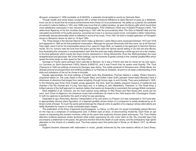Bouquet, composed in 1936 (available on 8.555223), a splendid choral-ballet to words by Gertrude Stein.

Though wealth and social status conspired with a certain emotional diffidence to allow Berners to pose as a dilettante, there can be no doubt that his musical achievements were those of a true professional. His ability as a painter (he exhibited at London's Lefevre Gallery in 1931 and 1936) was more that of a gifted amateur, as were his literary gifts which found their most satisfactory expression in two volumes of autobiography, First Childhood (1934) and A Distant Prospect (1945). The determined flippancy of his five novellas (beginning in 1937 with the provocatively titled The Girls of Radcliff Hall) and the calculated eccentricity of his public persona, cocooned as it was in a vacuous social round, concealed a rather melancholy, emotionally starved personality which is reflected in some of his music. From 1931 he lived in modest splendour at Faringdon House in Berkshire where he died on 19 April 1950.

The Three Songs in the German Manner which make up Berners' Lieder Album were composed between 1913 and 1918 and appeared in 1920 as his first published composition. Although he assured Stravinsky that they were 'not at all German' they might, were it not for his irrepressible sense of fun, pass for Hugo Wolf, so masterly is his approach to Heinrich Heine's words. As it is, humour sets the tone from the piano grunts that open the almost atonal setting of Du bist wie eine Blume, thus illustrating the composer's unsubstantiated claim that the poet was really addressing a white pig and not a fair maiden, to the final glissando which mocks the king's bovine obsessions in König Wiswamitra. Even the Weihnachtslied, the most straightforward and genuinely 'felt' of the three settings, has its moments of gentle comedy in the 'oriental' parallel fifths which speed the three kings on their quest for the Holy Child.

Homage to France came perhaps more naturally to Berners, for it was a French text that he chose for his only opera, Le Carrosse du Saint-Sacrement (1923) (Naxos 8.660510), and it was French that he spoke most fluently. The Trois Chansons of 1920 are settings of poems by Georges Jean-Aubry. The subtle parlando of Romance and L'Étoile filante, the delicate pictoral accompaniment and shifting tonalities of La Fiancée du timbalier, all point to his deep understanding of the style and substance of the art he chose to emulate.

Equally appropriately, his three settings of English texts (the Elizabethan Thomas Dekker's Lullaby, Robert Graves's anguished attack on The Lady Visitor in the Pauper Ward, and Esther Lillian Duff's petulant Green-eyed Monster) have a directness of utterance that ranges from sweet simplicity, through furious rage, to arch frivolity. They were published in 1920. In the following year three more English songs appeared: this time, bold but slightly wayward versions of traditional sea shanties (The Rio Grande and A Long Time Ago) and, in a setting of John Masefield's Theodore, or The Pirate King, a brilliant parody of the bluff approach to nautical matters that seems so frequently to overwhelm the average British composer.

Most delightful of all, however, are his mock parlour-song settings of Red Roses and Red Noses (the words are his own), and Come on Algernon, the infectious music-hall contribution he made to the 1944 feature film Champagne Charlie. In both he captures to perfection the spirit of what he was parodying.

Dedicated to Igor Stravinsky, Berners' interpretation of his own poem Le Poisson d'or was composed in 1915 and tells, in appropriately nervous piano figuration, of a dejected goldfish whose dream of a companion is rudely shattered by an illtimed crumb of bread. To much the same period belongs the Dispute entre le papillon et le crapaud, whose altercations are deftly illustrated by means of vividly contrasted piano ranges.

The publication of the three Fragments psychologiques: La Haine, Le Rire and Un soupir immediately placed Berners on the map as a composer of consequence and, in British eyes at least, of disconcerting modernity. Each finds an apt means of expressing the emotion involved, while at the same time exploring virtuoso piano techniques. The Trois Petites Marches funèbres explored similar territories while subtly expressing his own ironic slant on life: the crocodile tears that accompany a statesman to the grave, the genuine emotion felt at the death of a pet canary, and the anticipatory high spirits attendant on the funeral of a wealthy aunt. The three pieces were first performed in Rome on 30 March 1917, by Alfredo Casella.

England became obsessed with nationalism in music, greatly enhanced by the over-zealous efforts of Cecil Sharp.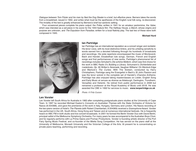Dialogue between Tom Filuter and his man by Ned the Dog Stealer is a brief, but effective piece. Berners takes the words from a broadsheet, issued in 1902, and writes what must be the apotheosis of the English rural folk song, re-discovered. The triviality of the text is greatly enhanced by Berners's brief but sardonic setting.

Four occasional pieces complete his piano output: the Polka, written in 1941 for an amateur pantomime, the Valse, which was intended as a set-piece in his score for the 1944 feature film The Halfway House, a March, whose origins and purpose are unknown, and The Expulsion from Paradise, written for a local Nativity play. The last two of these were both composed in 1945.

#### **Michael Hurd**



#### **Ian Partridge**

Ian Partridge has an international reputation as a concert singer and recitalist. His tenor voice, with its most distinctive timbre, and his unfailing sensitivity to words earned him a devoted following through his hundreds of broadcasts and recordings. His wide repertoire encompassed the music of Monteverdi, Bach and Handel, Elizabethan lute songs, German, French and English songs and first performances of new works. Partridge's phenomenal list of recordings includes Schubert's Die schöne Müllerin, which was first choice for the work in BBC Radio 3's Building a Library, Schumann's Dichterliebe and Liederkreis, Op. 39, Britten's Serenade, Vaughan Williams' On Wenlock Edge and Warlock's The Curlew. With The Sixteen, conducted by Harry Christophers, Partridge sang the Evangelist in Bach's St John Passion and was the tenor soloist in the complete set of Handel's Chandos Anthems. Partridge has also enjoyed taking masterclasses on Lieder, English Song and Early Music at venues as diverse as Aldeburgh, Dartington, Trondheim, Versailles and Helsinki. He retired from public performance in 2008 but remained a professor at the Royal Academy of Music until 2018. He was awarded the CBE in 1992 for services to music. **www.ianpartridge.co.uk**

Photo: © Fritz Curzon

### **Len Vorster**

Len Vorster left South Africa for Australia in 1983 after completing postgraduate piano studies at the University of Cape Town. In 1997 he recorded Michael Easton's Concerto on Australian Themes with the State Orchestra of Victoria for Naxos (8.554368), and gave the premieres of the work in Italy, Hungary, Germany and London. His Naxos recording of the two-piano version of Holst's The Planets (with Robert Chamberlain, 8.554369) received a Gramophone Award. Vorster has performed in the UK, South Africa, Hong Kong and Taiwan and at numerous international festivals. He is frequently heard on ABC FM in both studio and live concert broadcasts. In 2001 he formed the Berlin Vorster Duo with David Berlin, principal cellist of the Melbourne Symphony Orchestra. For many years he was accompanist to the Australian Boys Choir, and he regularly performs with La Prima Opera and Promac Productions. Vorster is founding artistic director of the Port Fairy Spring Music Festival, and co-founder of the Mietta Song Competition. He has served on the piano staff at the University of Melbourne, Monash University and the Victorian College of the Arts. At present he is concentrating on private piano teaching, performing and recording.